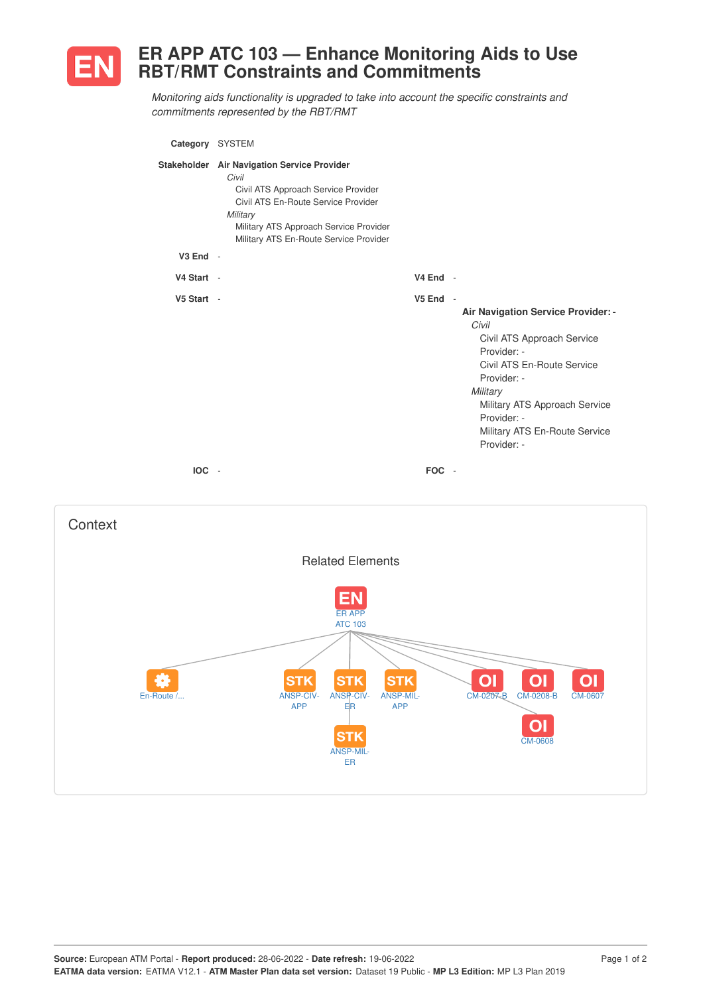

## **ER APP ATC 103 — Enhance Monitoring Aids to Use RBT/RMT Constraints and Commitments**

*Monitoring aids functionality is upgraded to take into account the specific constraints and commitments represented by the RBT/RMT*